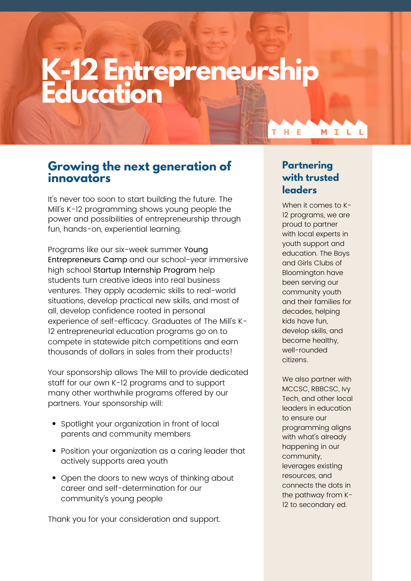## **K-12 Entrepreneurship Education**

### **Growing the next generation of innovators**

It's never too soon to start building the future. The Mill's K-12 programming shows young people the power and possibilities of entrepreneurship through fun, hands-on, experiential learning.

Programs like our six-week summer Young Entrepreneurs Camp and our school-year immersive high school Startup Internship Program help students turn creative ideas into real business ventures. They apply academic skills to real-world situations, develop practical new skills, and most of all, develop confidence rooted in personal experience of self-efficacy. Graduates of The Mill's K-12 entrepreneurial education programs go on to compete in statewide pitch competitions and earn thousands of dollars in sales from their products!

Your sponsorship allows The Mill to provide dedicated staff for our own K-12 programs and to support many other worthwhile programs offered by our partners. Your sponsorship will:

- Spotlight your organization in front of local parents and community members
- Position your organization as a caring leader that actively supports area youth
- Open the doors to new ways of thinking about career and self-determination for our community's young people

Thank you for your consideration and support.

### **Partnering with trusted leaders**

 $H$  E

MILL

When it comes to K-12 programs, we are proud to partner with local experts in youth support and education. The Boys and Girls Clubs of Bloomington have been serving our community youth and their families for decades, helping kids have fun, develop skills, and become healthy, well-rounded citizens.

We also partner with MCCSC, RBBCSC, Ivy Tech, and other local leaders in education to ensure our programming aligns with what's already happening in our community, leverages existing resources, and connects the dots in the pathway from K-12 to secondary ed.